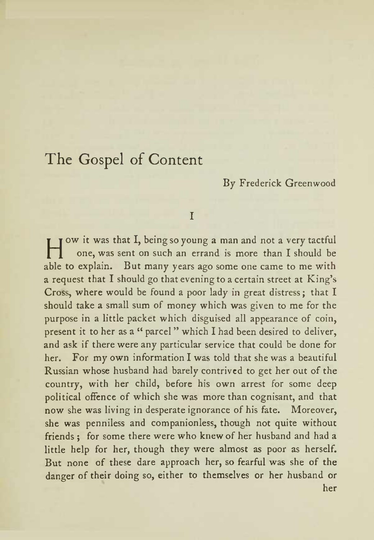### By Frederick Greenwood

#### $\mathbf{r}$

How it was that I, being so young <sup>a</sup> man and not <sup>a</sup> very tactful one, was sent on such an errand is more than <sup>I</sup> should be able to explain. But many years ago some one came to me with a request that I should go that evening to a certain street at King's street of the should Cross, where would be found <sup>a</sup> poor lady in great distress; that <sup>I</sup> should take <sup>a</sup> small sum of money which was given to me for the purpose in <sup>a</sup> little packet which disguised all appearance of coin, present it to her as a " parcel " which I had been desired to deliver, and ask if there were any particular service that could be done for her. For my own information <sup>I</sup> was told that she was <sup>a</sup> beautiful Russian whose husband had barely contrived to get her out of the country, with her child, before his own arrest for some deep political offence of which she was more than cognisant, and that now she was living in desperate ignorance of his fate. Moreover, she was penniless and companionless, though not quite without friends ; for some there were who knew of her husband and had a little help for her, though they were almost as poor as herself. But none of these dare approach her, so fearful was she of the danger of their doing so, either to themselves or her husband or her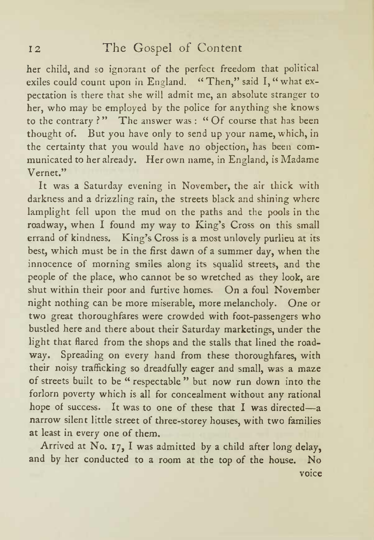her child, and so ignorant of the perfect freedom that political exiles could count upon in England. "Then," said I," what expectation is there that she will admit me, an absolute stranger to her, who may be employed by the police for anything she knows to the contrary ? " The answer was : " Of course that has been thought of. But you have only to send up your name, which, in the certainty that you would have no objection, has been com municated to her already. Her own name, in England, is Madame Vernet."

It was <sup>a</sup> Saturday evening in November, the air thick with darkness and <sup>a</sup> drizzling rain, the streets black and shining where lamplight fell upon the mud on the paths and the pools in the roadway, when I found my way to King's Cross on this small errand of kindness. King's Cross is a most unlovely purlieu at its best, which must be in the first dawn of <sup>a</sup> summer day, when the innocence of morning smiles along its squalid streets, and the people of the place, who cannot be so wretched as they look, are shut within their poor and furtive homes. On <sup>a</sup> foul November night nothing can be more miserable, more melancholy. One or two great thoroughfares were crowded with foot-passengers who bustled here and there about their Saturday marketings, under the light that flared from the shops and the stalls that lined the road way. Spreading on every hand from these thoroughfares, with their noisy trafficking so dreadfully eager and small, was <sup>a</sup> maze of streets built to be " respectable " but now run down into the forlorn poverty which is all for concealment without any rational hope of success. It was to one of these that I was directed-a narrow silent little street of three-storey houses, with two families at least in every one of them.

Arrived at No. 17, <sup>I</sup> was admitted by <sup>a</sup> child after long delay, and by her conducted to <sup>a</sup> room at the top of the house. No voice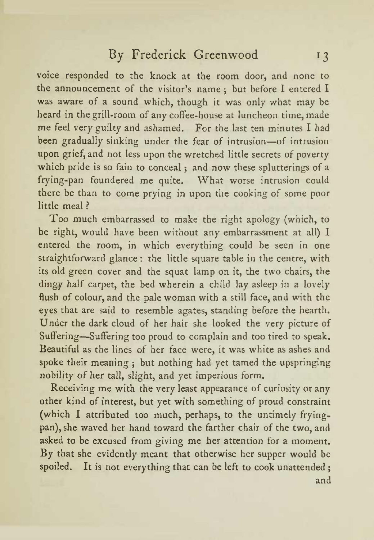voice responded to the knock at the room door, and none to the announcement of the visitor's name; but before I entered I was aware of a sound which, though it was only what may be heard in the grill-room of any coffee-house at luncheon time, made me feel very guilty and ashamed. For the last ten minutes I had been gradually sinking under the fear of intrusion-of intrusion upon grief, and not less upon the wretched little secrets of poverty which pride is so fain to conceal ; and now these splutterings of <sup>a</sup> frying-pan foundered me quite. What worse intrusion could there be than to come prying in upon the cooking of some poor little meal ?

Too much embarrassed to make the right apology (which, to be right, would have been without any embarrassment at all) <sup>I</sup> entered the room, in which everything could be seen in one straightforward glance : the little square table in the centre, with its old green cover and the squat lamp on it, the two chairs, the dingy half carpet, the bed wherein <sup>a</sup> child lay asleep in a lovely flush of colour, and the pale woman with <sup>a</sup> still face, and with the eyes that are said to resemble agates, standing before the hearth. Under the dark cloud of her hair she looked the very picture of Suffering-Suffering too proud to complain and too tired to speak. Beautiful as the lines of her face were, it was white as ashes and spoke their meaning ; but nothing had yet tamed the upspringing nobility of her tall, slight, and yet imperious form.

Receiving me with the very least appearance of curiosity or any other kind of interest, but yet with something of proud constraint (which <sup>I</sup> attributed too much, perhaps, to the untimely fryingpan), she waved her hand toward the farther chair of the two, and asked to be excused from giving me her attention for a moment. By that she evidently meant that otherwise her supper would be spoiled. It is not everything that can be left to cook unattended; ; and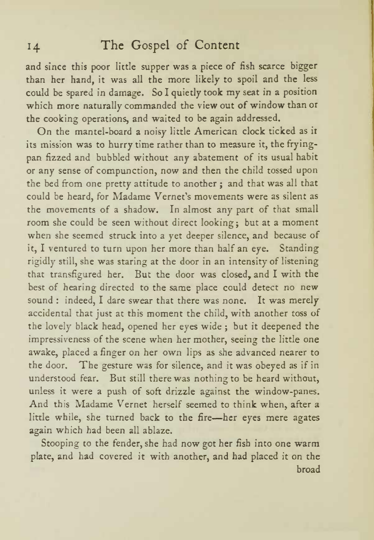and since this poor little supper was <sup>a</sup> piece of fish scarce bigger than her hand, it was all the more likely to spoil and the less could be spared in damage. So <sup>I</sup> quietly took my seat in <sup>a</sup> position which more naturally commanded the view out of window than or the cooking operations, and waited to be again addressed.

On the mantel-board <sup>a</sup> noisy little American clock ticked as ir its mission was to hurry time rather than to measure it, the fryingpan fizzed and bubbled without any abatement of its usual habit or any sense of compunction, now and then the child tossed upon the bed from one pretty attitude to another ; and that was all that could be heard, for Madame Vernet's movements were as silent as the movements of <sup>a</sup> shadow. In almost any part of that small room she could be seen without direct looking; but at <sup>a</sup> moment when she seemed struck into <sup>a</sup> yet deeper silence, and because of it, <sup>I</sup> ventured to turn upon her more than half an eye. Standing rigidly still, she was staring at the door in an intensity of listening that transfigured her. But the door was closed, and <sup>I</sup> with the best of hearing directed to the same place could detect no new sound : indeed, <sup>I</sup> dare swear that there was none. It was merely accidental that just at this moment the child, with another toss of the lovely black head, opened her eyes wide ; but it deepened the impressiveness of the scene when her mother, seeing the little one awake, placed <sup>a</sup> finger on her own lips as she advanced nearer to the door. The gesture was for silence, and it was obeyed as if in understood fear. But still there was nothing to be heard without, unless it were a push of soft drizzle against the window-panes. And this Madame Vernet herself seemed to think when, after <sup>a</sup> little while, she turned back to the fire-her eyes mere agates again which had been all ablaze.

Stooping to the fender, she had now got her fish into one warm plate, and had covered it with another, and had placed it on the broad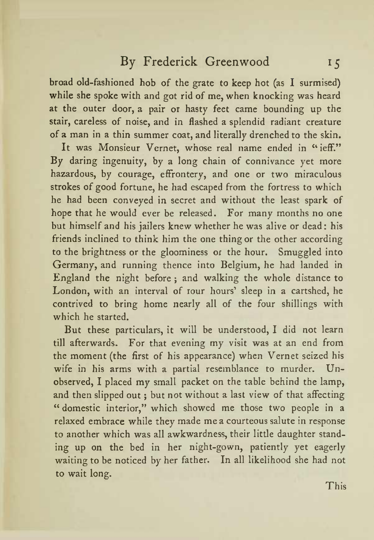broad old-fashioned hob of the grate to keep hot (as <sup>I</sup> surmised) while she spoke with and got rid of me, when knocking was heard at the outer door, <sup>a</sup> pair or hasty feet came bounding up the stair, careless of noise, and in flashed a splendid radiant creature of <sup>a</sup> man in <sup>a</sup> thin summer coat, and literally drenched to the skin.

It was Monsieur Vernet, whose real name ended in "ieff." By daring ingenuity, by <sup>a</sup> long chain of connivance yet more hazardous, by courage, effrontery, and one or two miraculous strokes of good fortune, he had escaped from the fortress to which he had been conveyed in secret and without the least spark of hope that he would ever be released. For many months no one but himself and his jailers knew whether he was alive or dead: his friends inclined to think him the one thing or the other according to the brightness or the gloominess or the hour. Smuggled into Germany, and running thence into Belgium, he had landed in England the night before ; and walking the whole distance to London, with an interval of rour hours' sleep in a cartshed, he contrived to bring home nearly all of the four shillings with which he started.

But these particulars, it will be understood, <sup>I</sup> did not learn till afterwards. For that evening my visit was at an end from the moment (the first of his appearance) when Vernet seized his wife in his arms with <sup>a</sup> partial resemblance to murder. Un observed, <sup>I</sup> placed my small packet on the table behind the lamp, and then slipped out ; but not without <sup>a</sup> last view of that affecting " domestic interior," which showed me those two people in a relaxed embrace while they made me <sup>a</sup> courteous salute in response to another which was all awkwardness, their little daughter stand ing up on the bed in her night-gown, patiently yet eagerly waiting to be noticed by her father. In all likelihood she had not to wait long.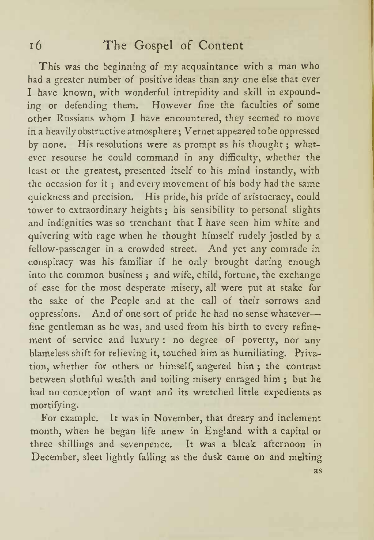This was the beginning of my acquaintance with <sup>a</sup> man who had <sup>a</sup> greater number of positive ideas than any one else that ever <sup>I</sup> have known, with wonderful intrepidity and skill in expound ing or defending them. However fine the faculties of some other Russians whom <sup>I</sup> have encountered, they seemed to move in <sup>a</sup> heavily obstructive atmosphere ; Vernet appeared to be oppressed by none. His resolutions were as prompt as his thought ; what ever resourse he could command in any difficulty, whether the least or the greatest, presented itself to his mind instantly, with the occasion for it ; and every movement of his body had the same quickness and precision. His pride, his pride of aristocracy, could tower to extraordinary heights ; his sensibility to personal slights and indignities was so trenchant that <sup>I</sup> have seen him white and quivering with rage when he thought himself rudely jostled by a fellow-passenger in <sup>a</sup> crowded street. And yet any comrade in conspiracy was his familiar if he only brought daring enough into the common business ; and wife, child, fortune, the exchange of ease for the most desperate misery, all were put at stake for the sake of the People and at the call of their sorrows and oppressions. And of one sort of pride he had no sense whateverfine gentleman as he was, and used from his birth to every refine ment of service and luxury : no degree of poverty, nor any blameless shift for relieving it, touched him as humiliating. Priva tion, whether for others or himself, angered him ; the contrast between slothful wealth and toiling misery enraged him ; but he had no conception of want and its wretched little expedients as mortifying.

For example. It was in November, that dreary and inclement month, when he began life anew in England with a capital or three shillings and sevenpence. It was <sup>a</sup> bleak afternoon in December, sleet lightly falling as the dusk came on and melting as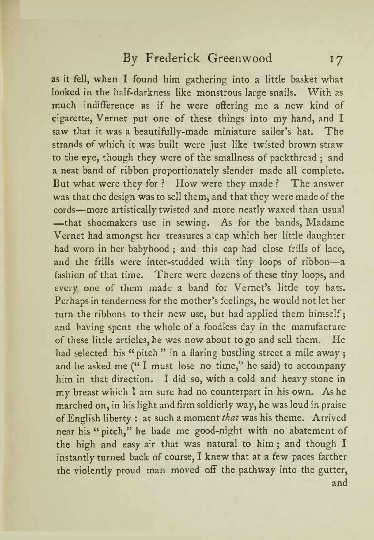as it fell, when I found him gathering into a little basket what looked in the half-darkness like monstrous large snails. With as much indifference as if he were offering me <sup>a</sup> new kind of cigarette, Vernet put one of these things into my hand, and <sup>I</sup> saw that it was a beautifully-made miniature sailor's hat. The strands of which it was built were just like twisted brown straw to the eye, though they were of the smallness of packthread ; and <sup>a</sup> neat band of ribbon proportionately slender made all complete. But what were they for ? How were they made ? The answer was that the design was to sell them, and that they were made of the cords-more artistically twisted and more neatly waxed than usual -that shoemakers use in sewing. As for the bands, Madame Vernet had amongst her treasures <sup>a</sup> cap which her little daughter had worn in her babyhood ; and this cap had close frills of lace, and the frills were inter-studded with tiny loops of ribbon-a fashion of that time. There were dozens of these tiny loops, and every one of them made a band for Vernet's little toy hats. Perhaps in tenderness for the mother's feelings, he would not let her turn the ribbons to their new use, but had applied them himself; and having spent the whole of <sup>a</sup> foodless day in the manufacture of these little articles, he was now about to go and sell them. He had selected his "pitch" in a flaring bustling street a mile away; and he asked me ("I must lose no time," he said) to accompany him in that direction. I did so, with a cold and heavy stone in my breast which <sup>I</sup> am sure had no counterpart in his own. As he marched on, in his light and firm soldierly way, he was loud in praise of English liberty : at such <sup>a</sup> moment that was his theme. Arrived near his " pitch," he bade me good-night with no abatement of the high and easy air that was natural to him ; and though I instantly turned back of course, <sup>I</sup> knew that at <sup>a</sup> few paces farther the violently proud man moved off the pathway into the gutter, and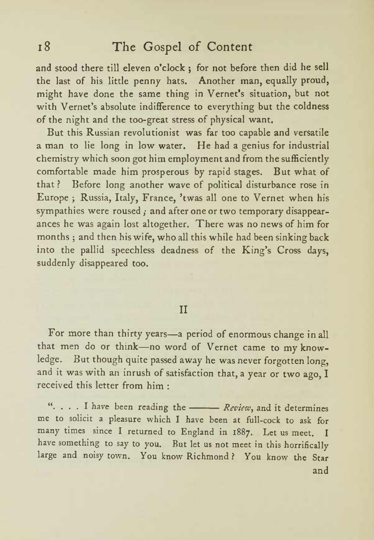and stood there till eleven o'clock ; for not before then did he sell the last of his little penny hats. Another man, equally proud, might have done the same thing in Vernet's situation, but not with Vernet's absolute indifference to everything but the coldness of the night and the too-great stress of physical want.

But this Russian revolutionist was far too capable and versatile <sup>a</sup> man tolie long in low water. He had <sup>a</sup> genius for industrial chemistry which soon got him employment and from the sufficiently comfortable made him prosperous by rapid stages. But what of that ? Before long another wave of political disturbance rose in Europe ; Russia, Italy, France, twas all one to Vernet when his sympathies were roused ; and after one or two temporary disappear ances he was again lost altogether. There was no news of him for months ; and then his wife, who all this while had been sinking back into the pallid speechless deadness of the King's Cross days, suddenly disappeared too.

#### II

For more than thirty years—a period of enormous change in all that men do or think-no word of Vernet came to my knowledge. But though quite passed away he was never forgotten long, and it was with an inrush of satisfaction that, <sup>a</sup> year or two ago, I received this letter from him :

". . . . I have been reading the *- Review*, and it determines me tosolicit <sup>a</sup> pleasure which <sup>I</sup> have been at full-cock to ask for many times since <sup>I</sup> returned to England in 1887. Let us meet. <sup>I</sup> have something to say to you. But let us not meet in this horrifically large and noisy town. You know Richmond ? You know the Star and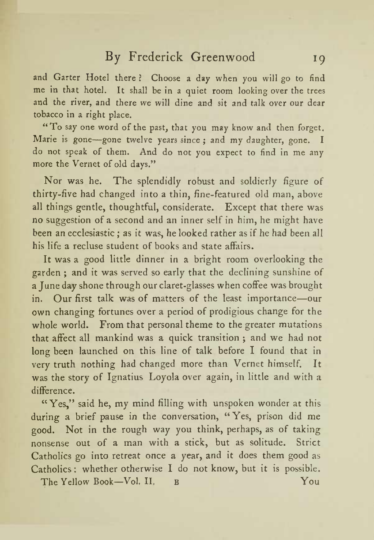and Garter Hotel there ? Choose <sup>a</sup> day when you will go to find me in that hotel. It shall be in a quiet room looking over the trees and the river, and there we will dine and sit and talk over our dear tobacco in <sup>a</sup> right place.

"To say one word of the past, that you may know and then forget. Marie is gone—gone twelve years since; and my daughter, gone. I do not speak of them. And do not you expect to find in me any more the Vernet of old days."

Nor was he. The splendidly robust and soldierly figure of thirty-five had changed into <sup>a</sup> thin, fine-featured old man, above all things gentle, thoughtful, considerate. Except that there was no suggestion of <sup>a</sup> second and an inner self in him, he might have been an ecclesiastic ; as it was, he looked rather as if he had been all his life a recluse student of books and state affairs.

It was <sup>a</sup>good little dinner in <sup>a</sup> bright room overlooking the garden ; and it was served so early that the declining sunshine of <sup>a</sup> June day shone through our claret-glasses when coffee was brought in. Our first talk was of matters of the least importance-our own changing fortunes over <sup>a</sup> period of prodigious change for the whole world. From that personal theme to the greater mutations that affect all mankind was <sup>a</sup> quick transition ; and we had not long been launched on this line of talk before <sup>I</sup> found that in very truth nothing had changed more than Vernet himself. It was the story of Ignatius Loyola over again, in little and with a difference.

"Yes," said he, my mind filling with unspoken wonder at this during <sup>a</sup> brief pause in the conversation, " Yes, prison did me good. Not in the rough way you think, perhaps, as of taking nonsense out of <sup>a</sup> man with <sup>a</sup> stick, but as solitude. Strict Catholics go into retreat once <sup>a</sup> year, and it does them good as Catholics: whether otherwise <sup>I</sup> do not know, but it is possible. The Yellow Book-Vol. II. B You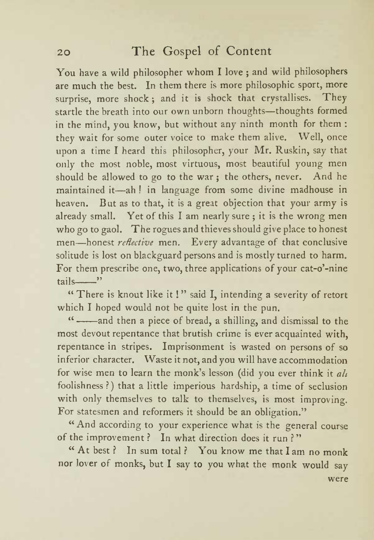You have <sup>a</sup> wild philosopher whom <sup>I</sup> love ; and wild philosophers are much the best. In them there is more philosophic sport, more surprise, more shock; and it is shock that crystallises. They startle the breath into our own unborn thoughts-thoughts formed in the mind, you know, but without any ninth month for them : they wait for some outer voice to make them alive. Well, once upon <sup>a</sup> time <sup>I</sup> heard this philosopher, your Mr. Ruskin, say that only the most noble, most virtuous, most beautiful young men should be allowed to go to the war; the others, never. And he maintained it-ah! in language from some divine madhouse in heaven. But as to that, it is <sup>a</sup> great objection that your army is already small. Yet of this I am nearly sure ; it is the wrong men who go to gaol. The rogues and thieves should give place to honest men—honest *reflective* men. Every advantage of that conclusive solitude is lost on blackguard persons and is mostly turned to harm. For them prescribe one, two, three applications of your cat-o'-nine tails "

" There is knout like it ! " said I, intending a severity of retort which <sup>I</sup> hoped would not be quite lost in the pun.

"-and then a piece of bread, a shilling, and dismissal to the most devout repentance that brutish crime is ever acquainted with, repentance in stripes. Imprisonment is wasted on persons of so inferior character. Waste it not, and you will have accommodation for wise men to learn the monk's lesson (did you ever think it all foolishness?) that <sup>a</sup> little imperious hardship, a time of seclusion with only themselves to talk to themselves, is most improving. For statesmen and reformers it should be an obligation."

" And according to your experience what is the general course of the improvement ? In what direction does it run ? "

" At best ? In sum total ? You know me that I am no monk nor lover of monks, but I say to you what the monk would say were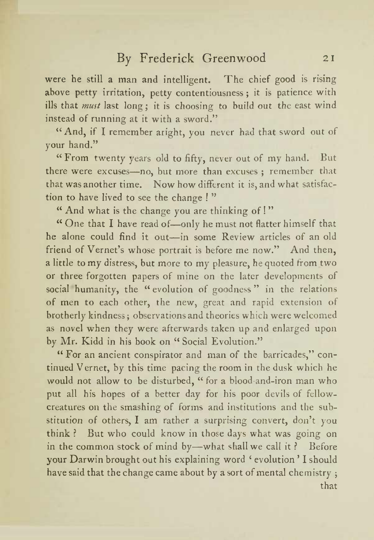were he still <sup>a</sup> man and intelligent. The chief good is rising above petty irritation, petty contentiousness ; it is patience with ills that must last long; it is choosing to build out the east wind instead of running at it with <sup>a</sup> sword."

"And, if <sup>I</sup> remember aright, you never had that sword out of your hand."

"From twenty years old to fifty, never out of my hand. But there were excuses—no, but more than excuses ; remember that that was another time. Now how different it is, and what satisfaction to have lived to see the change ! "

" And what is the change you are thinking of! "

" One that I have read of-only he must not flatter himself that he alone could find it out-in some Review articles of an old friend of Vernet's whose portrait is before me now." And then, <sup>a</sup> little to my distress, but more to my pleasure, he quoted from two or three forgotten papers of mine on the later developments of social humanity, the "evolution of goodness " in the relations of men to each other, the new, great and rapid extension of brotherly kindness ; observations and theories which were welcomed as novel when they were afterwards taken up and enlarged upon by Mr. Kidd in his book on " Social Evolution."

" For an ancient conspirator and man of the barricades," continued Vernet, by this time pacing the room in the dusk which he would not allow to be disturbed, " for <sup>a</sup> blood-and-iron man who put all his hopes of <sup>a</sup> better day for his poor devils of fellowcreatures on the smashing of forms and institutions and the sub stitution of others, I am rather a surprising convert, don't you think ? But who could know in those days what was going on in the common stock of mind by-what shall we call it ? Before your Darwin brought out his explaining word 'evolution' I should have said that the change came about by <sup>a</sup> sort of mental chemistry ; that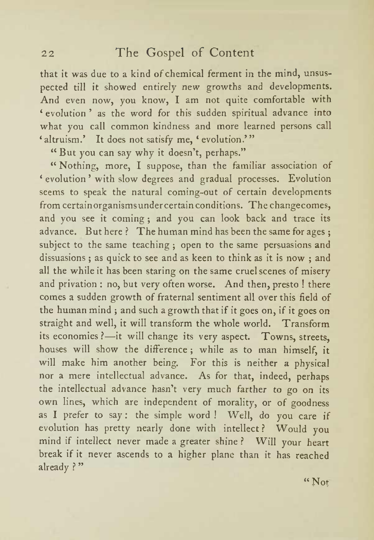that itwas due to a kind of chemical ferment in the mind, unsus pected till it showed entirely new growths and developments. And even now, you know, <sup>I</sup> am not quite comfortable with 'evolution' as the word for this sudden spiritual advance into what you call common kindness and more learned persons call 'altruism.' It does not satisfy me, 'evolution.'"

" But you can say why it doesn't, perhaps."

" Nothing, more, <sup>I</sup> suppose, than the familiar association of evolution with slow degrees and gradual processes. Evolution seems to speak the natural coming-out of certain developments from certainorganismsundercertain conditions. The changecomes, and you see it coming ; and you can look back and trace its advance. But here? The human mind has been the same for ages; subject to the same teaching ; open to the same persuasions and dissuasions ; as quick to see and as keen to think as it is now ; and all the while it has been staring on the same cruel scenes of misery and privation : no, but very often worse. And then, presto ! there comes <sup>a</sup> sudden growth of fraternal sentiment all over this field of the human mind ; and such <sup>a</sup> growth that if it goes on, if it goes on straight and well, it will transform the whole world. Transform its economies ?- it will change its very aspect. Towns, streets, houses will show the difference ; while as to man himself, it will make him another being. For this is neither <sup>a</sup> physical nor <sup>a</sup> mere intellectual advance. As for that, indeed, perhaps the intellectual advance hasn't very much farther to go on its own lines, which are independent of morality, or of goodness as <sup>I</sup> prefer to say : the simple word ! Well, do you care if evolution has pretty nearly done with intellect ? Would you mind if intellect never made <sup>a</sup> greater shine ? Will your heart break if it never ascends to <sup>a</sup> higher plane than it has reached already ? "

"Not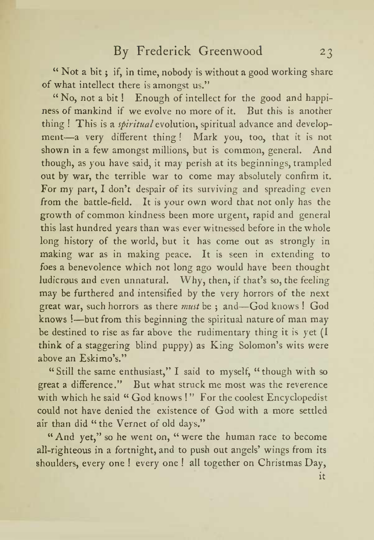" Not a bit ; if, in time, nobody is without <sup>a</sup> good working share of what intellect there is amongst us."

" No, not <sup>a</sup> bit ! Enough of intellect for the good and happi ness of mankind if we evolve no more of it. But this is another thing ! This is a *spiritual* evolution, spiritual advance and development-a very different thing! Mark you, too, that it is not shown in a few amongst millions, but is common, general. And though, as you have said, it may perish at its beginnings, trampled out by war, the terrible war to come may absolutely confirm it. For my part, I don't despair of its surviving and spreading even from the battle-field. It is your own word that not only has the growth of common kindness been more urgent, rapid and general this last hundred years than was ever witnessed before in the whole long history of the world, but it has come out as strongly in making war as in making peace. It is seen in extending to foes <sup>a</sup> benevolence which not long ago would have been thought ludicrous and even unnatural. Why, then, if that's so, the feeling may be furthered and intensified by the very horrors of the next great war, such horrors as there *must* be ; and—God knows ! God knows !- but from this beginning the spiritual nature of man may be destined to rise as far above the rudimentary thing it is yet (I think of a staggering blind puppy) as King Solomon's wits were above an Eskimo's."

" Still the same enthusiast," <sup>I</sup> said to myself, " though with so great <sup>a</sup> difference." But what struck me most was the reverence with which he said " God knows ! " For the coolest Encyclopedist could not have denied the existence of God with <sup>a</sup> more settled air than did " the Vernet of old days."

" And yet," so he went on, " were the human race to become all-righteous in a fortnight, and to push out angels' wings from its shoulders, every one ! every one ! all together on Christmas Day, it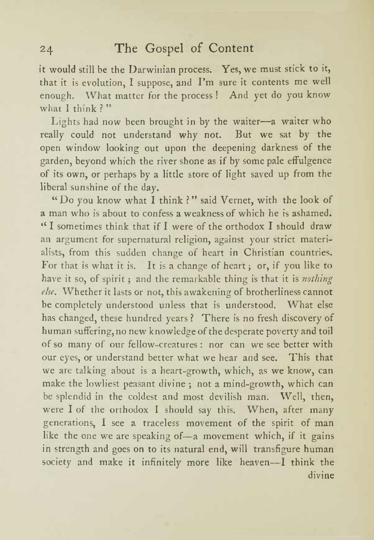it would still be the Darwinian process. Yes, we must stick to it, that it is evolution, I suppose, and I'm sure it contents me well enough. What matter for the process ! And yet do you know what I think?"

Lights had now been brought in by the waiter-a waiter who really could not understand why not. But we sat by the open window looking out upon the deepening darkness of the garden, beyond which the river shone as if by some pale effulgence of its own, or perhaps by <sup>a</sup> little store of light saved up from the liberal sunshine of the day.

"Do you know what <sup>I</sup> think ?" said Vernet, with the look of a man who is about to confess <sup>a</sup> weakness of which he is ashamed. " <sup>I</sup> sometimes think that if <sup>I</sup> were of the orthodox <sup>I</sup> should draw an argument for supernatural religion, against your strict materi alists, from this sudden change of heart in Christian countries. For that is what it is. It is <sup>a</sup> change of heart ; or, if you like to have it so, of spirit ; and the remarkable thing is that it is *nothing* else. Whether it lasts or not, this awakening of brotherliness cannot be completely understood unless that is understood. What else has changed, these hundred years ? There is no fresh discovery of human suffering, no new knowledge of the desperate poverty and toil of so many of our fellow-creatures: nor can we see better with our eyes, or understand better what we hear and see. This that we are talking about is <sup>a</sup> heart-growth, which, as we know, can make the lowliest peasant divine ; not <sup>a</sup> mind-growth, which can be splendid in the coldest and most devilish man. Well, then, were <sup>I</sup>of the orthodox <sup>I</sup> should say this. When, after many generations, <sup>I</sup> see <sup>a</sup> traceless movement of the spirit of man like the one we are speaking of—a movement which, if it gains in strength and goes on to its natural end, will transfigure human society and make it infinitely more like heaven-I think the divine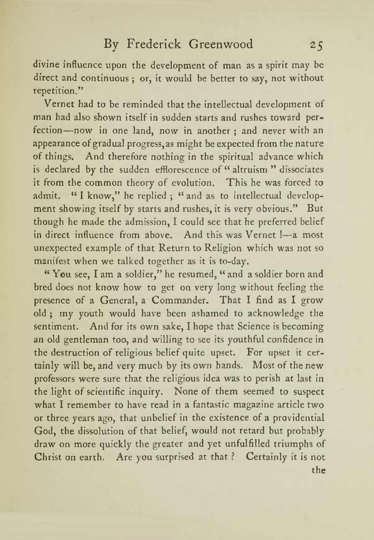divine influence upon the development of man as<sup>a</sup> spirit may be direct and continuous ; or, it would be better to say, not without repetition."

Vernet had to be reminded that the intellectual development of man had also shown itself in sudden starts and rushes toward per fection—now in one land, now in another; and never with an appearance of gradual progress, as might be expected from the nature of things. And therefore nothing in the spiritual advance which is declared by the sudden efflorescence of " altruism " dissociates it from the common theory of evolution. This he was forced to admit. "I know," he replied ; "and as to intellectual development showing itself by starts and rushes, it is very obvious." But though he made the admission, <sup>I</sup> could see that he preferred belief in direct influence from above. And this was Vernet !- a most unexpected example of that Return to Religion which was not so manifest when we talked together as it is to-day.

" You see, <sup>I</sup> am <sup>a</sup> soldier," he resumed, " and a soldier born and bred does not know how to get on very long without feeling the presence of <sup>a</sup> General, <sup>a</sup> Commander. That <sup>I</sup> find as <sup>I</sup> grow old ; my youth would have been ashamed to acknowledge the sentiment. And for its own sake, <sup>I</sup> hope that Science is becoming an old gentleman too, and willing to see its youthful confidence in the destruction of religious belief quite upset. For upset it cer tainly will be, and very much by its own hands. Most of the new professors were sure that the religious idea was to perish at last in the light of scientific inquiry. None of them seemed to suspect what <sup>I</sup> remember to have read in <sup>a</sup> fantastic magazine article two or three years ago, that unbelief in the existence of <sup>a</sup> providential God, the dissolution of that belief, would not retard but probably draw on more quickly the greater and yet unfulfilled triumphs of Christ on earth. Are you surprised at that ? Certainly it is not the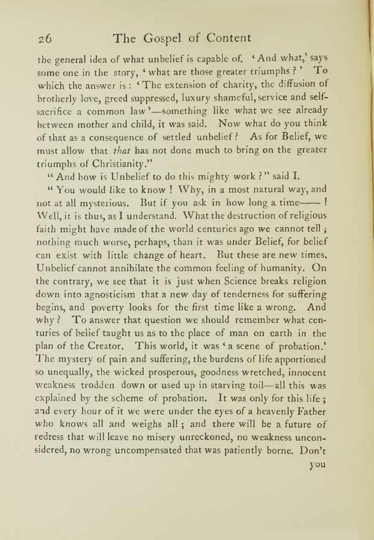the general idea of what unbelief is capable of. 'And what,' says some one in the story, 'what are those greater triumphs?' To which the answer is: 'The extension of charity, the diffusion of brotherly love, greed suppressed, luxury shameful, service and selfsacrifice a common law '—something like what we see already between mother and child, it was said. Now what do you think of that as <sup>a</sup> consequence of settled unbelief? As for Belief, we must allow that that has not done much to bring on the greater triumphs of Christianity."

" And how is Unbelief to do this mighty work ?" said I.

" You would like to know ! Why, in <sup>a</sup> most natural way, and not at all mysterious. But if you ask in how long a time-Well, it is thus, as I understand. What the destruction of religious faith might have made of the world centuries ago we cannot tell ; nothing much worse, perhaps, than it was under Belief, for belief can exist with little change of heart. But these are new times. Unbelief cannot annihilate the common feeling of humanity. On the contrary, we see that it is just when Science breaks religion down into agnosticism that <sup>a</sup> new day of tenderness for suffering begins, and poverty looks for the first time like <sup>a</sup> wrong. And why? To answer that question we should remember what centuries of belief taught us as to the place of man on earth in the plan of the Creator. This world, it was 'a scene of probation.' The mystery of pain and suffering, the burdens of life apportioned so unequally, the wicked prosperous, goodness wretched, innocent weakness trodden down or used up in starving toil—all this was explained by the scheme of probation. It was only for this life ; and every hour of it we were under the eyes of <sup>a</sup> heavenly Father who knows all and weighs all ; and there will be a future of redress that will leave no misery unreckoned, no weakness unconsidered, no wrong uncompensated that was patiently borne. Don't you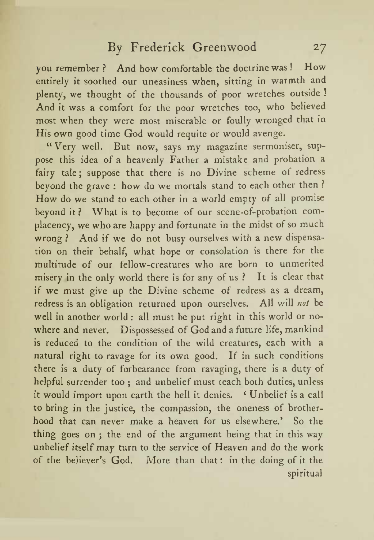you remember ? And how comfortable the doctrine was ! How entirely it soothed our uneasiness when, sitting in warmth and plenty, we thought of the thousands of poor wretches outside ! And it was <sup>a</sup> comfort for the poor wretches too, who believed most when they were most miserable or foully wronged that in His own good time God would requite or would avenge.

" Very well. But now, says my magazine sermoniser, sup pose this idea of <sup>a</sup> heavenly Father <sup>a</sup> mistake and probation a fairy tale; suppose that there is no Divine scheme of redress beyond the grave : how do we mortals stand to each other then ? How do we stand to each other in <sup>a</sup> world empty of all promise beyond it? What is to become of our scene-of-probation complacency, we who are happy and fortunate in the midst of so much wrong? And if we do not busy ourselves with a new dispensation on their behalf, what hope or consolation is there for the multitude of our fellow-creatures who are born to unmerited misery in the only world there is for any of us ? It is clear that if we must give up the Divine scheme of redress as <sup>a</sup> dream, redress isan obligation returned upon ourselves. All will not be well in another world : all must be put right in this world or no where and never. Dispossessed of God and <sup>a</sup> future life, mankind is reduced to the condition of the wild creatures, each with a natural right to ravage for its own good. If in such conditions there is <sup>a</sup> duty of forbearance from ravaging, there is a duty of helpful surrender too ; and unbelief must teach both duties, unless it would import upon earth the hell it denies. 'Unbelief is a call to bring in the justice, the compassion, the oneness of brother hood that can never make a heaven for us elsewhere.' So the thing goes on ; the end of the argument being that in this way unbelief itself may turn to the service of Heaven and do the work of the believer's God. More than that: in the doing of it the spiritual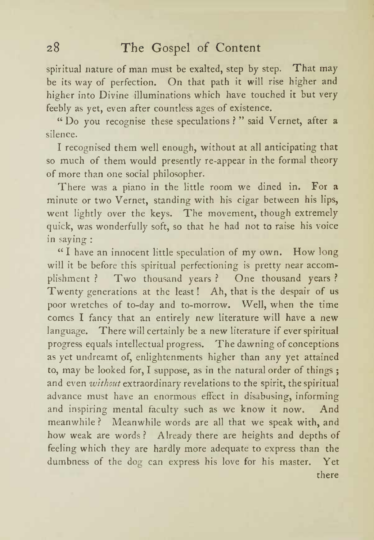spiritual nature of man must be exalted, step by step. That may be its way of perfection. On that path it will rise higher and higher into Divine illuminations which have touched it but very feebly as yet, even after countless ages of existence.

" Do you recognise these speculations ? " said Vernet, after a silence.

<sup>I</sup> recognised them well enough, without at all anticipating that so much of them would presently re-appear in the formal theory of more than one social philosopher.

There was <sup>a</sup> piano in the little room we dined in. For <sup>a</sup> minute or two Vernet, standing with his cigar between his lips, went lightly over the keys. The movement, though extremely quick, was wonderfully soft, so that he had not to raise his voice in saying :

" I have an innocent little speculation of my own. How long will it be before this spiritual perfectioning is pretty near accom plishment ? Two thousand years ? One thousand years ? Twenty generations at the least ! Ah, that is the despair of us poor wretches of to-day and to-morrow. Well, when the time comes <sup>I</sup> fancy that an entirely new literature will have <sup>a</sup> new language. There will certainly be <sup>a</sup> new literature if ever spiritual progress equals intellectual progress. The dawning of conceptions as yet undreamt of, enlightenments higher than any yet attained to, may be looked for, <sup>I</sup> suppose, as in the natural order of things ; and even without extraordinary revelations to the spirit, the spiritual advance must have an enormous effect in disabusing, informing and inspiring mental faculty such as we know it now. And meanwhile ? Meanwhile words are all that we speak with, and how weak are words ? Already there are heights and depths of feeling which they are hardly more adequate to express than the dumbness of the dog can express his love for his master. Yet there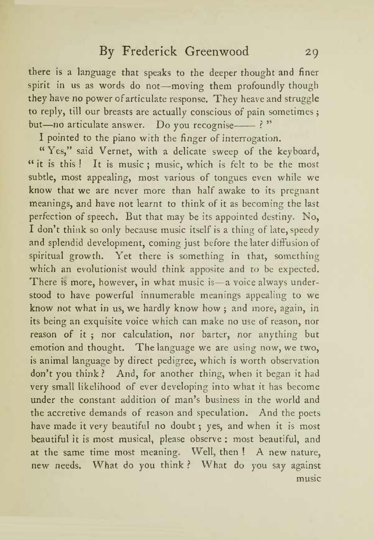there is <sup>a</sup> language that speaks to the deeper thought and finer spirit in us as words do not-moving them profoundly though they have no power of articulate response. They heave and struggle to reply, till our breasts are actually conscious of pain sometimes ; but-no articulate answer. Do you recognise--- ?"

<sup>I</sup> pointed to the piano with the finger of interrogation.

" Yes," said Vernet, with <sup>a</sup> delicate sweep of the keyboard, " it is this! It is music; music, which is felt to be the most subtle, most appealing, most various of tongues even while we know that we are never more than half awake to its pregnant meanings, and have not learnt to think of it as becoming the last perfection of speech. But that may be its appointed destiny. No, I don't think so only because music itself is a thing of late, speedy and splendid development, coming just before the later diffusion of spiritual growth. Yet there is something in that, something which an evolutionist would think apposite and to be expected. There is more, however, in what music is—a voice always understood to have powerful innumerable meanings appealing to we know not what in us, we hardly know how ; and more, again, in its being an exquisite voice which can make no use of reason, nor reason of it ; nor calculation, nor barter, nor anything but emotion and thought. The language we are using now, we two, is animal language by direct pedigree, which is worth observation don <sup>t</sup> you think ? And, for another thing, when it began it had very small likelihood of ever developing into what it has become under the constant addition of man's business in the world and the accretive demands of reason and speculation. And the poets have made it very beautiful no doubt ; yes, and when it is most beautiful it is most musical, please observe : most beautiful, and at the same time most meaning. Well, then ! A new nature, new needs. What do you think ? What do you say against music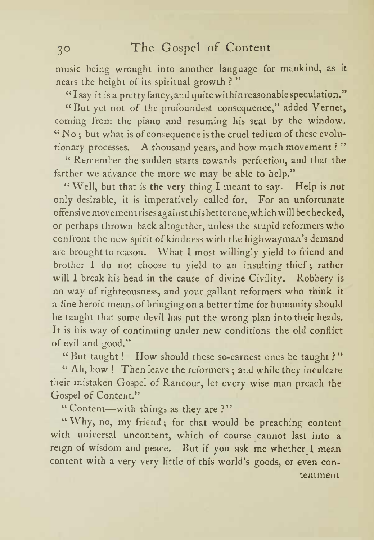music being wrought into another language for mankind, as it nears the height of its spiritual growth ?

"Isay it isa pretty fancy, and quitewithinreasonablespeculation."

" But yet not of the profoundest consequence," added Vernet, coming from the piano and resuming his seat by the window. " No ; but what is of consequence is the cruel tedium of these evolu tionary processes. A thousand years, and how much movement ?"

" Remember the sudden starts towards perfection, and that the farther we advance the more we may be able to help."

"Well, but that is the very thing <sup>I</sup> meant to say. Help is not only desirable, it is imperatively called for. For an unfortunate offensive movement risesagai nst this better one,which will bechecked, or perhaps thrown back altogether, unless the stupid reformers who confront the new spirit of kindness with the highwayman <sup>s</sup> demand are brought to reason. What <sup>I</sup> most willingly yield to friend and brother 1 do not choose to yield to an insulting thief; rather will <sup>I</sup> break his head in the cause of divine Civility. Robbery is no way of righteousness, and your gallant reformers who think it <sup>a</sup> fine heroic means of bringing on <sup>a</sup> better time for humanity should be taught that some devil has put the wrong plan into their heads. It is his way of continuing under new conditions the old conflict of evil and good."

"But taught ! How should these so-earnest ones be taught ?"

" Ah, how ! Then leave the reformers ; and while they inculcate their mistaken Gospel of Rancour, let every wise man preach the Gospel of Content."

"Content-with things as they are ?"

"Why, no, my friend; for that would be preaching content with universal uncontent, which of course cannot last into <sup>a</sup> reign of wisdom and peace. But if you ask me whether <sup>I</sup> mean content with a very very little of this world's goods, or even contentment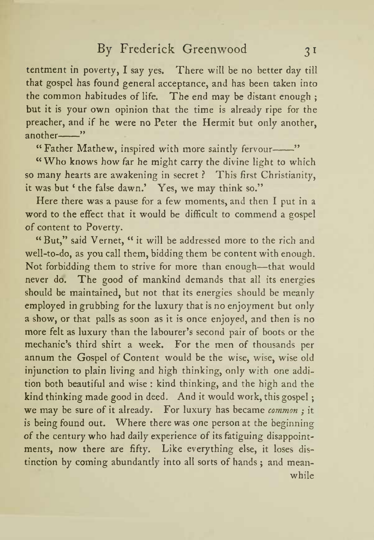tentment in poverty, <sup>I</sup> say yes. There will be no better day till that gospel has found general acceptance, and has been taken into the common habitudes of life. The end may be distant enough ; but it is your own opinion that the time is already ripe for the preacher, and if he were no Peter the Hermit but only another, another-"

"Father Mathew, inspired with more saintly fervour-"

"Who knows how far he might carry the divine light to which so many hearts are awakening in secret ? This first Christianity, it was but ' the false dawn.' Yes, we may think so."

Here there was a pause for a few moments, and then I put in a word to the effect that it would be difficult to commend <sup>a</sup> gospel of content to Poverty.

"But," said Vernet, " it will be addressed more to the rich and well-to-do, as you call them, bidding them be content with enough. Not forbidding them to strive for more than enough-that would never do. The good of mankind demands that all its energies should be maintained, but not that its energies should be meanly employed in grubbing for the luxury that is no enjoyment but only <sup>a</sup> show, or that palls as soon as it is once enjoyed, and then is no more felt as luxury than the labourer's second pair of boots or the mechanic's third shirt a week. For the men of thousands per annum the Gospel of Content would be the wise, wise, wise old injunction to plain living and high thinking, only with one addi tion both beautiful and wise : kind thinking, and the high and the kind thinking made good in deed. And it would work, this gospel ; we may be sure of it already. For luxury has became *common*; it is being found out. Where there was one person at the beginning of the century who had daily experience of its fatiguing disappointments, now there are fifty. Like everything else, it loses dis tinction by coming abundantly into all sorts of hands ; and mean while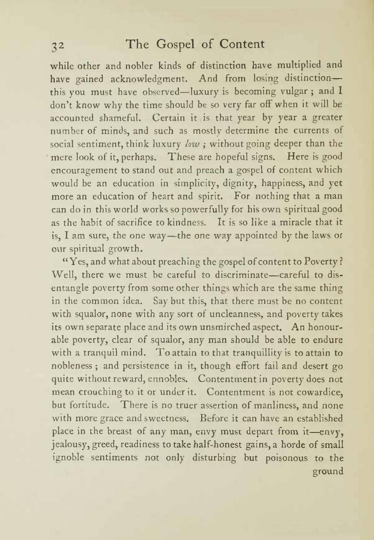while other and nobler kinds of distinction have multiplied and have gained acknowledgment. And from losing distinctionthis you must have observed—luxury is becoming vulgar; and I don't know why the time should be so very far off when it will be accounted shameful. Certain it is that year by year a greater number of minds, and such as mostly determine the currents of social sentiment, think luxury low ; without going deeper than the mere look of it, perhaps. These are hopeful signs. Here is good encouragement to stand out and preach a gospel of content which would be an education in simplicity, dignity, happiness, and yet more an education of heart and spirit. For nothing that a man can do in this world works so powerfully for his own spiritual good as the habit of sacrifice to kindness. It is so like a miracle that it is, I am sure, the one way—the one way appointed by the laws or our spiritual growth.

"Yes, and what about preaching the gospel of content to Poverty ? Well, there we must be careful to discriminate-careful to disentangle poverty from some other things which are the same thing in the common idea. Say but this, that there must be no content with squalor, none with any sort of uncleanness, and poverty takes its own separate place and its own unsmirched aspect. An honour able poverty, clear of squalor, any man should be able to endure with <sup>a</sup> tranquil mind. To attain to that tranquillity is to attain to nobleness ; and persistence in it, though effort fail and desert go quite without reward, ennobles. Contentment in poverty does not mean crouching to it or under it. Contentment is not cowardice, but fortitude. There is no truer assertion of manliness, and none with more grace and sweetness. Before it can have an established place in the breast of any man, envy must depart from it-envy, jealousy, greed, readiness to take half-honest gains, a horde of small ignoble sentiments not only disturbing but poisonous to the ground